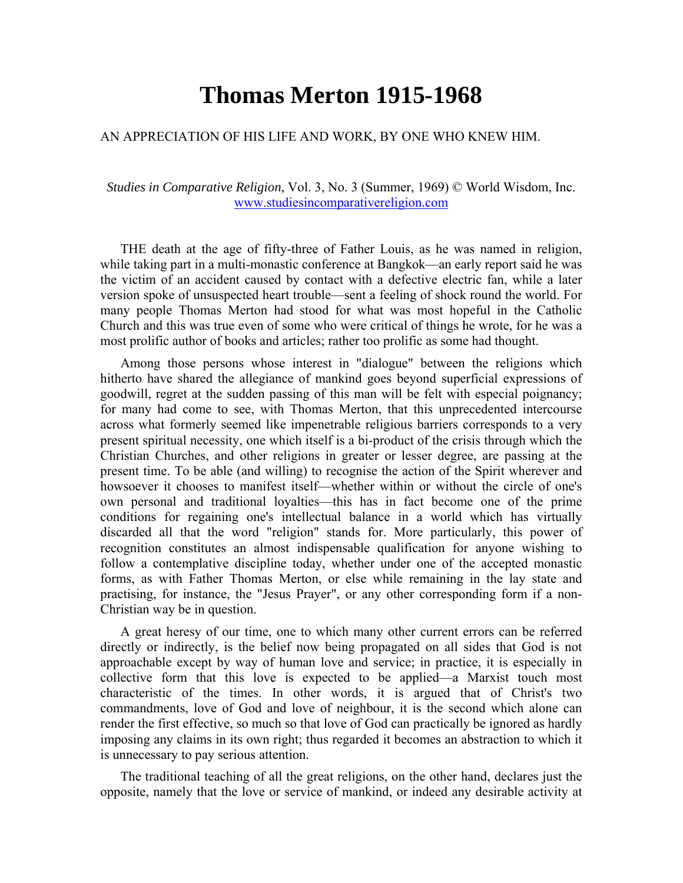## **Thomas Merton 1915-1968**

## AN APPRECIATION OF HIS LIFE AND WORK, BY ONE WHO KNEW HIM.

*Studies in Comparative Religion*, Vol. 3, No. 3 (Summer, 1969) © World Wisdom, Inc. [www.studiesincomparativereligion.com](http://www.studiesincomparativereligion.com/)

THE death at the age of fifty-three of Father Louis, as he was named in religion, while taking part in a multi-monastic conference at Bangkok—an early report said he was the victim of an accident caused by contact with a defective electric fan, while a later version spoke of unsuspected heart trouble—sent a feeling of shock round the world. For many people Thomas Merton had stood for what was most hopeful in the Catholic Church and this was true even of some who were critical of things he wrote, for he was a most prolific author of books and articles; rather too prolific as some had thought.

Among those persons whose interest in "dialogue" between the religions which hitherto have shared the allegiance of mankind goes beyond superficial expressions of goodwill, regret at the sudden passing of this man will be felt with especial poignancy; for many had come to see, with Thomas Merton, that this unprecedented intercourse across what formerly seemed like impenetrable religious barriers corresponds to a very present spiritual necessity, one which itself is a bi-product of the crisis through which the Christian Churches, and other religions in greater or lesser degree, are passing at the present time. To be able (and willing) to recognise the action of the Spirit wherever and howsoever it chooses to manifest itself—whether within or without the circle of one's own personal and traditional loyalties—this has in fact become one of the prime conditions for regaining one's intellectual balance in a world which has virtually discarded all that the word "religion" stands for. More particularly, this power of recognition constitutes an almost indispensable qualification for anyone wishing to follow a contemplative discipline today, whether under one of the accepted monastic forms, as with Father Thomas Merton, or else while remaining in the lay state and practising, for instance, the "Jesus Prayer", or any other corresponding form if a non-Christian way be in question.

A great heresy of our time, one to which many other current errors can be referred directly or indirectly, is the belief now being propagated on all sides that God is not approachable except by way of human love and service; in practice, it is especially in collective form that this love is expected to be applied—a Marxist touch most characteristic of the times. In other words, it is argued that of Christ's two commandments, love of God and love of neighbour, it is the second which alone can render the first effective, so much so that love of God can practically be ignored as hardly imposing any claims in its own right; thus regarded it becomes an abstraction to which it is unnecessary to pay serious attention.

The traditional teaching of all the great religions, on the other hand, declares just the opposite, namely that the love or service of mankind, or indeed any desirable activity at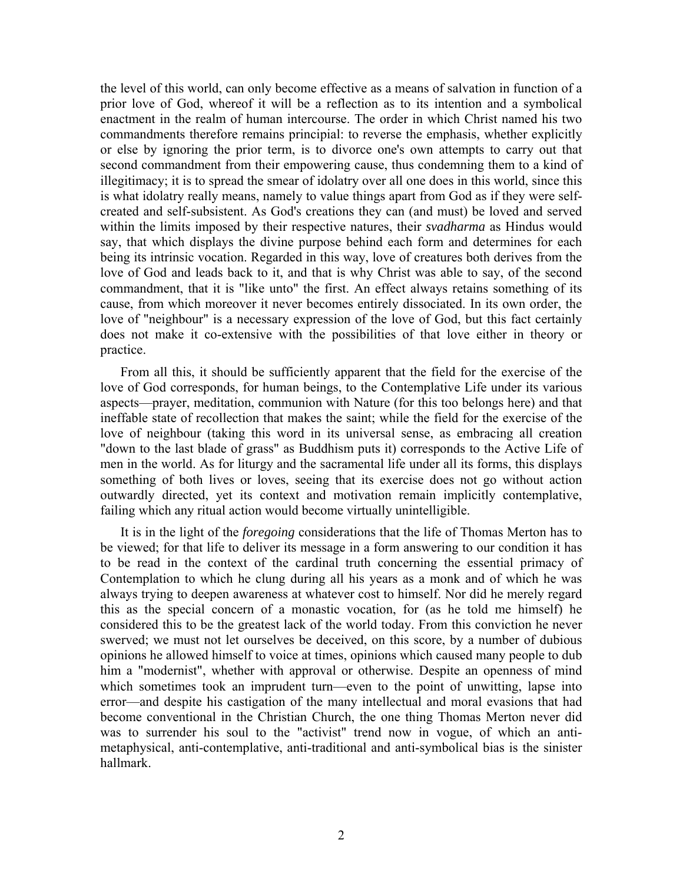the level of this world, can only become effective as a means of salvation in function of a prior love of God, whereof it will be a reflection as to its intention and a symbolical enactment in the realm of human intercourse. The order in which Christ named his two commandments therefore remains principial: to reverse the emphasis, whether explicitly or else by ignoring the prior term, is to divorce one's own attempts to carry out that second commandment from their empowering cause, thus condemning them to a kind of illegitimacy; it is to spread the smear of idolatry over all one does in this world, since this is what idolatry really means, namely to value things apart from God as if they were selfcreated and self-subsistent. As God's creations they can (and must) be loved and served within the limits imposed by their respective natures, their *svadharma* as Hindus would say, that which displays the divine purpose behind each form and determines for each being its intrinsic vocation. Regarded in this way, love of creatures both derives from the love of God and leads back to it, and that is why Christ was able to say, of the second commandment, that it is "like unto" the first. An effect always retains something of its cause, from which moreover it never becomes entirely dissociated. In its own order, the love of "neighbour" is a necessary expression of the love of God, but this fact certainly does not make it co-extensive with the possibilities of that love either in theory or practice.

From all this, it should be sufficiently apparent that the field for the exercise of the love of God corresponds, for human beings, to the Contemplative Life under its various aspects—prayer, meditation, communion with Nature (for this too belongs here) and that ineffable state of recollection that makes the saint; while the field for the exercise of the love of neighbour (taking this word in its universal sense, as embracing all creation "down to the last blade of grass" as Buddhism puts it) corresponds to the Active Life of men in the world. As for liturgy and the sacramental life under all its forms, this displays something of both lives or loves, seeing that its exercise does not go without action outwardly directed, yet its context and motivation remain implicitly contemplative, failing which any ritual action would become virtually unintelligible.

It is in the light of the *foregoing* considerations that the life of Thomas Merton has to be viewed; for that life to deliver its message in a form answering to our condition it has to be read in the context of the cardinal truth concerning the essential primacy of Contemplation to which he clung during all his years as a monk and of which he was always trying to deepen awareness at whatever cost to himself. Nor did he merely regard this as the special concern of a monastic vocation, for (as he told me himself) he considered this to be the greatest lack of the world today. From this conviction he never swerved; we must not let ourselves be deceived, on this score, by a number of dubious opinions he allowed himself to voice at times, opinions which caused many people to dub him a "modernist", whether with approval or otherwise. Despite an openness of mind which sometimes took an imprudent turn—even to the point of unwitting, lapse into error—and despite his castigation of the many intellectual and moral evasions that had become conventional in the Christian Church, the one thing Thomas Merton never did was to surrender his soul to the "activist" trend now in vogue, of which an antimetaphysical, anti-contemplative, anti-traditional and anti-symbolical bias is the sinister hallmark.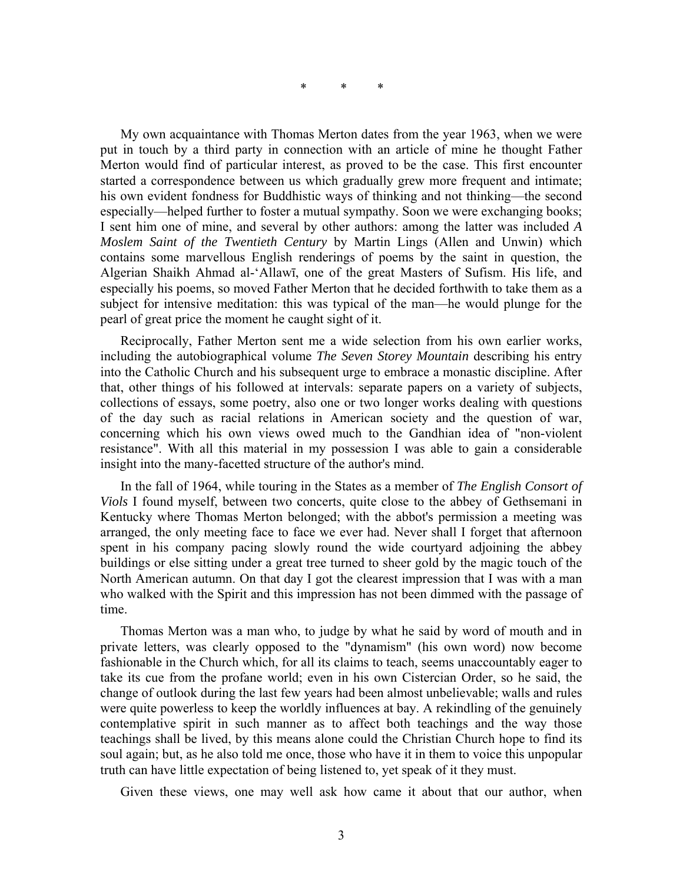\* \* \*

My own acquaintance with Thomas Merton dates from the year 1963, when we were put in touch by a third party in connection with an article of mine he thought Father Merton would find of particular interest, as proved to be the case. This first encounter started a correspondence between us which gradually grew more frequent and intimate; his own evident fondness for Buddhistic ways of thinking and not thinking—the second especially—helped further to foster a mutual sympathy. Soon we were exchanging books; I sent him one of mine, and several by other authors: among the latter was included *A Moslem Saint of the Twentieth Century* by Martin Lings (Allen and Unwin) which contains some marvellous English renderings of poems by the saint in question, the Algerian Shaikh Ahmad al-'Allawī, one of the great Masters of Sufism. His life, and especially his poems, so moved Father Merton that he decided forthwith to take them as a subject for intensive meditation: this was typical of the man—he would plunge for the pearl of great price the moment he caught sight of it.

Reciprocally, Father Merton sent me a wide selection from his own earlier works, including the autobiographical volume *The Seven Storey Mountain* describing his entry into the Catholic Church and his subsequent urge to embrace a monastic discipline. After that, other things of his followed at intervals: separate papers on a variety of subjects, collections of essays, some poetry, also one or two longer works dealing with questions of the day such as racial relations in American society and the question of war, concerning which his own views owed much to the Gandhian idea of "non-violent resistance". With all this material in my possession I was able to gain a considerable insight into the many-facetted structure of the author's mind.

In the fall of 1964, while touring in the States as a member of *The English Consort of Viols* I found myself, between two concerts, quite close to the abbey of Gethsemani in Kentucky where Thomas Merton belonged; with the abbot's permission a meeting was arranged, the only meeting face to face we ever had. Never shall I forget that afternoon spent in his company pacing slowly round the wide courtyard adjoining the abbey buildings or else sitting under a great tree turned to sheer gold by the magic touch of the North American autumn. On that day I got the clearest impression that I was with a man who walked with the Spirit and this impression has not been dimmed with the passage of time.

Thomas Merton was a man who, to judge by what he said by word of mouth and in private letters, was clearly opposed to the "dynamism" (his own word) now become fashionable in the Church which, for all its claims to teach, seems unaccountably eager to take its cue from the profane world; even in his own Cistercian Order, so he said, the change of outlook during the last few years had been almost unbelievable; walls and rules were quite powerless to keep the worldly influences at bay. A rekindling of the genuinely contemplative spirit in such manner as to affect both teachings and the way those teachings shall be lived, by this means alone could the Christian Church hope to find its soul again; but, as he also told me once, those who have it in them to voice this unpopular truth can have little expectation of being listened to, yet speak of it they must.

Given these views, one may well ask how came it about that our author, when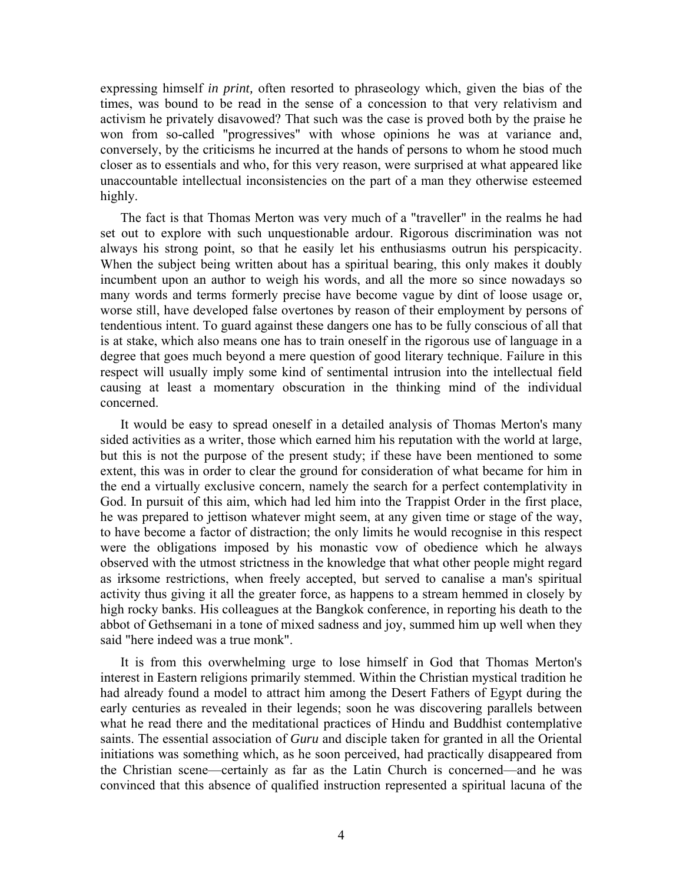expressing himself *in print,* often resorted to phraseology which, given the bias of the times, was bound to be read in the sense of a concession to that very relativism and activism he privately disavowed? That such was the case is proved both by the praise he won from so-called "progressives" with whose opinions he was at variance and, conversely, by the criticisms he incurred at the hands of persons to whom he stood much closer as to essentials and who, for this very reason, were surprised at what appeared like unaccountable intellectual inconsistencies on the part of a man they otherwise esteemed highly.

The fact is that Thomas Merton was very much of a "traveller" in the realms he had set out to explore with such unquestionable ardour. Rigorous discrimination was not always his strong point, so that he easily let his enthusiasms outrun his perspicacity. When the subject being written about has a spiritual bearing, this only makes it doubly incumbent upon an author to weigh his words, and all the more so since nowadays so many words and terms formerly precise have become vague by dint of loose usage or, worse still, have developed false overtones by reason of their employment by persons of tendentious intent. To guard against these dangers one has to be fully conscious of all that is at stake, which also means one has to train oneself in the rigorous use of language in a degree that goes much beyond a mere question of good literary technique. Failure in this respect will usually imply some kind of sentimental intrusion into the intellectual field causing at least a momentary obscuration in the thinking mind of the individual concerned.

It would be easy to spread oneself in a detailed analysis of Thomas Merton's many sided activities as a writer, those which earned him his reputation with the world at large, but this is not the purpose of the present study; if these have been mentioned to some extent, this was in order to clear the ground for consideration of what became for him in the end a virtually exclusive concern, namely the search for a perfect contemplativity in God. In pursuit of this aim, which had led him into the Trappist Order in the first place, he was prepared to jettison whatever might seem, at any given time or stage of the way, to have become a factor of distraction; the only limits he would recognise in this respect were the obligations imposed by his monastic vow of obedience which he always observed with the utmost strictness in the knowledge that what other people might regard as irksome restrictions, when freely accepted, but served to canalise a man's spiritual activity thus giving it all the greater force, as happens to a stream hemmed in closely by high rocky banks. His colleagues at the Bangkok conference, in reporting his death to the abbot of Gethsemani in a tone of mixed sadness and joy, summed him up well when they said "here indeed was a true monk".

It is from this overwhelming urge to lose himself in God that Thomas Merton's interest in Eastern religions primarily stemmed. Within the Christian mystical tradition he had already found a model to attract him among the Desert Fathers of Egypt during the early centuries as revealed in their legends; soon he was discovering parallels between what he read there and the meditational practices of Hindu and Buddhist contemplative saints. The essential association of *Guru* and disciple taken for granted in all the Oriental initiations was something which, as he soon perceived, had practically disappeared from the Christian scene—certainly as far as the Latin Church is concerned—and he was convinced that this absence of qualified instruction represented a spiritual lacuna of the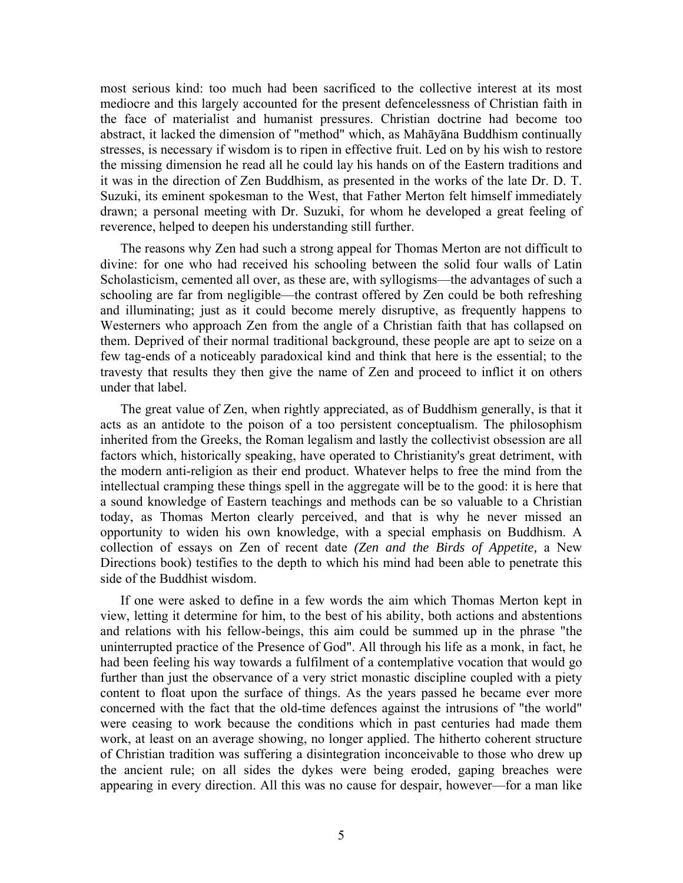most serious kind: too much had been sacrificed to the collective interest at its most mediocre and this largely accounted for the present defencelessness of Christian faith in the face of materialist and humanist pressures. Christian doctrine had become too abstract, it lacked the dimension of "method" which, as Mahāyāna Buddhism continually stresses, is necessary if wisdom is to ripen in effective fruit. Led on by his wish to restore the missing dimension he read all he could lay his hands on of the Eastern traditions and it was in the direction of Zen Buddhism, as presented in the works of the late Dr. D. T. Suzuki, its eminent spokesman to the West, that Father Merton felt himself immediately drawn; a personal meeting with Dr. Suzuki, for whom he developed a great feeling of reverence, helped to deepen his understanding still further.

The reasons why Zen had such a strong appeal for Thomas Merton are not difficult to divine: for one who had received his schooling between the solid four walls of Latin Scholasticism, cemented all over, as these are, with syllogisms—the advantages of such a schooling are far from negligible—the contrast offered by Zen could be both refreshing and illuminating; just as it could become merely disruptive, as frequently happens to Westerners who approach Zen from the angle of a Christian faith that has collapsed on them. Deprived of their normal traditional background, these people are apt to seize on a few tag-ends of a noticeably paradoxical kind and think that here is the essential; to the travesty that results they then give the name of Zen and proceed to inflict it on others under that label.

The great value of Zen, when rightly appreciated, as of Buddhism generally, is that it acts as an antidote to the poison of a too persistent conceptualism. The philosophism inherited from the Greeks, the Roman legalism and lastly the collectivist obsession are all factors which, historically speaking, have operated to Christianity's great detriment, with the modern anti-religion as their end product. Whatever helps to free the mind from the intellectual cramping these things spell in the aggregate will be to the good: it is here that a sound knowledge of Eastern teachings and methods can be so valuable to a Christian today, as Thomas Merton clearly perceived, and that is why he never missed an opportunity to widen his own knowledge, with a special emphasis on Buddhism. A collection of essays on Zen of recent date *(Zen and the Birds of Appetite,* a New Directions book) testifies to the depth to which his mind had been able to penetrate this side of the Buddhist wisdom.

If one were asked to define in a few words the aim which Thomas Merton kept in view, letting it determine for him, to the best of his ability, both actions and abstentions and relations with his fellow-beings, this aim could be summed up in the phrase "the uninterrupted practice of the Presence of God". All through his life as a monk, in fact, he had been feeling his way towards a fulfilment of a contemplative vocation that would go further than just the observance of a very strict monastic discipline coupled with a piety content to float upon the surface of things. As the years passed he became ever more concerned with the fact that the old-time defences against the intrusions of "the world" were ceasing to work because the conditions which in past centuries had made them work, at least on an average showing, no longer applied. The hitherto coherent structure of Christian tradition was suffering a disintegration inconceivable to those who drew up the ancient rule; on all sides the dykes were being eroded, gaping breaches were appearing in every direction. All this was no cause for despair, however—for a man like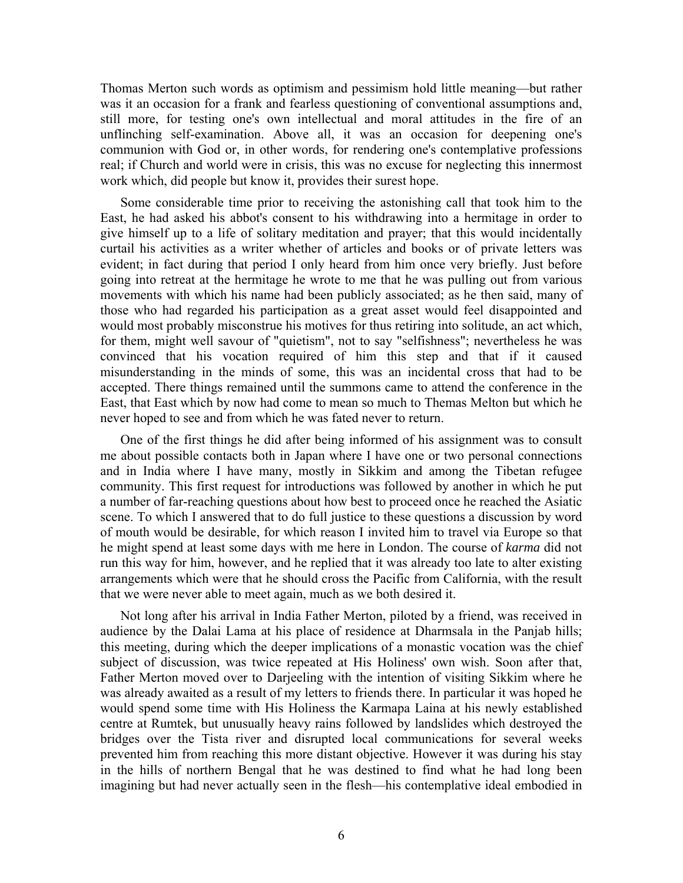Thomas Merton such words as optimism and pessimism hold little meaning—but rather was it an occasion for a frank and fearless questioning of conventional assumptions and, still more, for testing one's own intellectual and moral attitudes in the fire of an unflinching self-examination. Above all, it was an occasion for deepening one's communion with God or, in other words, for rendering one's contemplative professions real; if Church and world were in crisis, this was no excuse for neglecting this innermost work which, did people but know it, provides their surest hope.

Some considerable time prior to receiving the astonishing call that took him to the East, he had asked his abbot's consent to his withdrawing into a hermitage in order to give himself up to a life of solitary meditation and prayer; that this would incidentally curtail his activities as a writer whether of articles and books or of private letters was evident; in fact during that period I only heard from him once very briefly. Just before going into retreat at the hermitage he wrote to me that he was pulling out from various movements with which his name had been publicly associated; as he then said, many of those who had regarded his participation as a great asset would feel disappointed and would most probably misconstrue his motives for thus retiring into solitude, an act which, for them, might well savour of "quietism", not to say "selfishness"; nevertheless he was convinced that his vocation required of him this step and that if it caused misunderstanding in the minds of some, this was an incidental cross that had to be accepted. There things remained until the summons came to attend the conference in the East, that East which by now had come to mean so much to Themas Melton but which he never hoped to see and from which he was fated never to return.

One of the first things he did after being informed of his assignment was to consult me about possible contacts both in Japan where I have one or two personal connections and in India where I have many, mostly in Sikkim and among the Tibetan refugee community. This first request for introductions was followed by another in which he put a number of far-reaching questions about how best to proceed once he reached the Asiatic scene. To which I answered that to do full justice to these questions a discussion by word of mouth would be desirable, for which reason I invited him to travel via Europe so that he might spend at least some days with me here in London. The course of *karma* did not run this way for him, however, and he replied that it was already too late to alter existing arrangements which were that he should cross the Pacific from California, with the result that we were never able to meet again, much as we both desired it.

Not long after his arrival in India Father Merton, piloted by a friend, was received in audience by the Dalai Lama at his place of residence at Dharmsala in the Panjab hills; this meeting, during which the deeper implications of a monastic vocation was the chief subject of discussion, was twice repeated at His Holiness' own wish. Soon after that, Father Merton moved over to Darjeeling with the intention of visiting Sikkim where he was already awaited as a result of my letters to friends there. In particular it was hoped he would spend some time with His Holiness the Karmapa Laina at his newly established centre at Rumtek, but unusually heavy rains followed by landslides which destroyed the bridges over the Tista river and disrupted local communications for several weeks prevented him from reaching this more distant objective. However it was during his stay in the hills of northern Bengal that he was destined to find what he had long been imagining but had never actually seen in the flesh—his contemplative ideal embodied in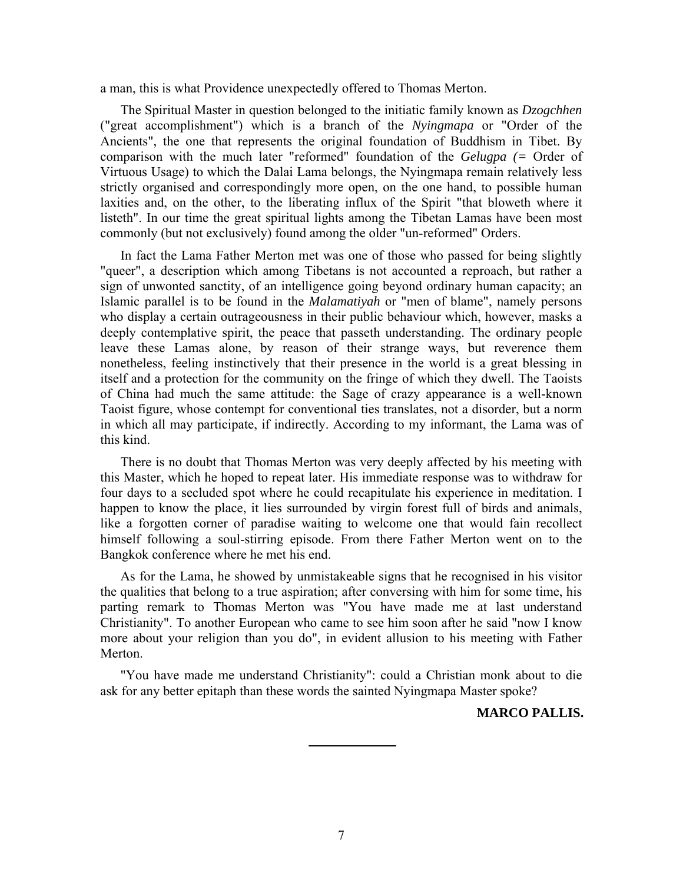a man, this is what Providence unexpectedly offered to Thomas Merton.

The Spiritual Master in question belonged to the initiatic family known as *Dzogchhen* ("great accomplishment") which is a branch of the *Nyingmapa* or "Order of the Ancients", the one that represents the original foundation of Buddhism in Tibet. By comparison with the much later "reformed" foundation of the *Gelugpa (=* Order of Virtuous Usage) to which the Dalai Lama belongs, the Nyingmapa remain relatively less strictly organised and correspondingly more open, on the one hand, to possible human laxities and, on the other, to the liberating influx of the Spirit "that bloweth where it listeth". In our time the great spiritual lights among the Tibetan Lamas have been most commonly (but not exclusively) found among the older "un-reformed" Orders.

In fact the Lama Father Merton met was one of those who passed for being slightly "queer", a description which among Tibetans is not accounted a reproach, but rather a sign of unwonted sanctity, of an intelligence going beyond ordinary human capacity; an Islamic parallel is to be found in the *Malamatiyah* or "men of blame", namely persons who display a certain outrageousness in their public behaviour which, however, masks a deeply contemplative spirit, the peace that passeth understanding. The ordinary people leave these Lamas alone, by reason of their strange ways, but reverence them nonetheless, feeling instinctively that their presence in the world is a great blessing in itself and a protection for the community on the fringe of which they dwell. The Taoists of China had much the same attitude: the Sage of crazy appearance is a well-known Taoist figure, whose contempt for conventional ties translates, not a disorder, but a norm in which all may participate, if indirectly. According to my informant, the Lama was of this kind.

There is no doubt that Thomas Merton was very deeply affected by his meeting with this Master, which he hoped to repeat later. His immediate response was to withdraw for four days to a secluded spot where he could recapitulate his experience in meditation. I happen to know the place, it lies surrounded by virgin forest full of birds and animals, like a forgotten corner of paradise waiting to welcome one that would fain recollect himself following a soul-stirring episode. From there Father Merton went on to the Bangkok conference where he met his end.

As for the Lama, he showed by unmistakeable signs that he recognised in his visitor the qualities that belong to a true aspiration; after conversing with him for some time, his parting remark to Thomas Merton was "You have made me at last understand Christianity". To another European who came to see him soon after he said "now I know more about your religion than you do", in evident allusion to his meeting with Father Merton.

"You have made me understand Christianity": could a Christian monk about to die ask for any better epitaph than these words the sainted Nyingmapa Master spoke?

## **MARCO PALLIS.**